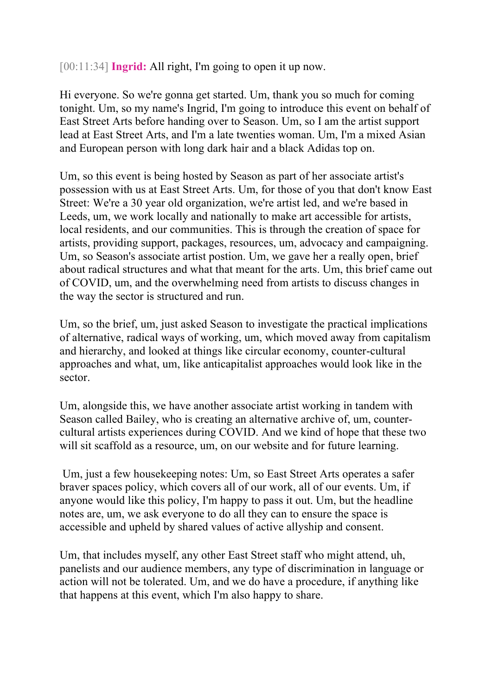[00:11:34] **Ingrid:** All right, I'm going to open it up now.

Hi everyone. So we're gonna get started. Um, thank you so much for coming tonight. Um, so my name's Ingrid, I'm going to introduce this event on behalf of East Street Arts before handing over to Season. Um, so I am the artist support lead at East Street Arts, and I'm a late twenties woman. Um, I'm a mixed Asian and European person with long dark hair and a black Adidas top on.

Um, so this event is being hosted by Season as part of her associate artist's possession with us at East Street Arts. Um, for those of you that don't know East Street: We're a 30 year old organization, we're artist led, and we're based in Leeds, um, we work locally and nationally to make art accessible for artists, local residents, and our communities. This is through the creation of space for artists, providing support, packages, resources, um, advocacy and campaigning. Um, so Season's associate artist postion. Um, we gave her a really open, brief about radical structures and what that meant for the arts. Um, this brief came out of COVID, um, and the overwhelming need from artists to discuss changes in the way the sector is structured and run.

Um, so the brief, um, just asked Season to investigate the practical implications of alternative, radical ways of working, um, which moved away from capitalism and hierarchy, and looked at things like circular economy, counter-cultural approaches and what, um, like anticapitalist approaches would look like in the sector.

Um, alongside this, we have another associate artist working in tandem with Season called Bailey, who is creating an alternative archive of, um, countercultural artists experiences during COVID. And we kind of hope that these two will sit scaffold as a resource, um, on our website and for future learning.

Um, just a few housekeeping notes: Um, so East Street Arts operates a safer braver spaces policy, which covers all of our work, all of our events. Um, if anyone would like this policy, I'm happy to pass it out. Um, but the headline notes are, um, we ask everyone to do all they can to ensure the space is accessible and upheld by shared values of active allyship and consent.

Um, that includes myself, any other East Street staff who might attend, uh, panelists and our audience members, any type of discrimination in language or action will not be tolerated. Um, and we do have a procedure, if anything like that happens at this event, which I'm also happy to share.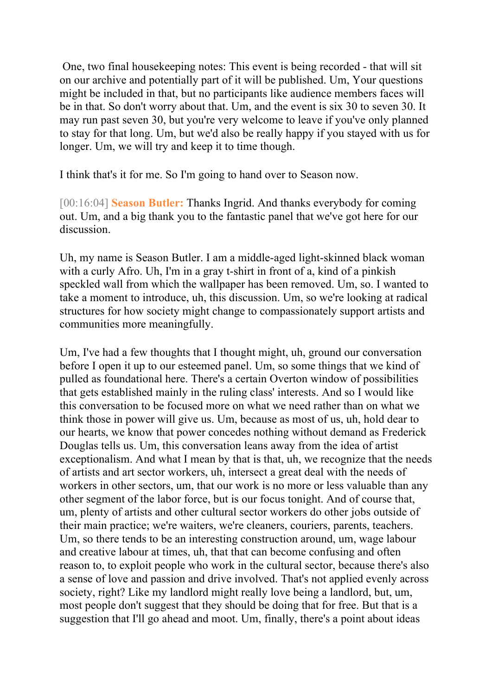One, two final housekeeping notes: This event is being recorded - that will sit on our archive and potentially part of it will be published. Um, Your questions might be included in that, but no participants like audience members faces will be in that. So don't worry about that. Um, and the event is six 30 to seven 30. It may run past seven 30, but you're very welcome to leave if you've only planned to stay for that long. Um, but we'd also be really happy if you stayed with us for longer. Um, we will try and keep it to time though.

I think that's it for me. So I'm going to hand over to Season now.

[00:16:04] **Season Butler:** Thanks Ingrid. And thanks everybody for coming out. Um, and a big thank you to the fantastic panel that we've got here for our discussion.

Uh, my name is Season Butler. I am a middle-aged light-skinned black woman with a curly Afro. Uh, I'm in a gray t-shirt in front of a, kind of a pinkish speckled wall from which the wallpaper has been removed. Um, so. I wanted to take a moment to introduce, uh, this discussion. Um, so we're looking at radical structures for how society might change to compassionately support artists and communities more meaningfully.

Um, I've had a few thoughts that I thought might, uh, ground our conversation before I open it up to our esteemed panel. Um, so some things that we kind of pulled as foundational here. There's a certain Overton window of possibilities that gets established mainly in the ruling class' interests. And so I would like this conversation to be focused more on what we need rather than on what we think those in power will give us. Um, because as most of us, uh, hold dear to our hearts, we know that power concedes nothing without demand as Frederick Douglas tells us. Um, this conversation leans away from the idea of artist exceptionalism. And what I mean by that is that, uh, we recognize that the needs of artists and art sector workers, uh, intersect a great deal with the needs of workers in other sectors, um, that our work is no more or less valuable than any other segment of the labor force, but is our focus tonight. And of course that, um, plenty of artists and other cultural sector workers do other jobs outside of their main practice; we're waiters, we're cleaners, couriers, parents, teachers. Um, so there tends to be an interesting construction around, um, wage labour and creative labour at times, uh, that that can become confusing and often reason to, to exploit people who work in the cultural sector, because there's also a sense of love and passion and drive involved. That's not applied evenly across society, right? Like my landlord might really love being a landlord, but, um, most people don't suggest that they should be doing that for free. But that is a suggestion that I'll go ahead and moot. Um, finally, there's a point about ideas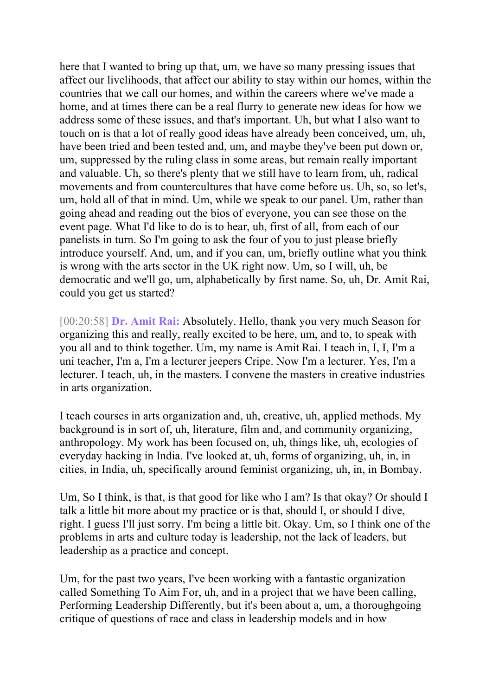here that I wanted to bring up that, um, we have so many pressing issues that affect our livelihoods, that affect our ability to stay within our homes, within the countries that we call our homes, and within the careers where we've made a home, and at times there can be a real flurry to generate new ideas for how we address some of these issues, and that's important. Uh, but what I also want to touch on is that a lot of really good ideas have already been conceived, um, uh, have been tried and been tested and, um, and maybe they've been put down or, um, suppressed by the ruling class in some areas, but remain really important and valuable. Uh, so there's plenty that we still have to learn from, uh, radical movements and from countercultures that have come before us. Uh, so, so let's, um, hold all of that in mind. Um, while we speak to our panel. Um, rather than going ahead and reading out the bios of everyone, you can see those on the event page. What I'd like to do is to hear, uh, first of all, from each of our panelists in turn. So I'm going to ask the four of you to just please briefly introduce yourself. And, um, and if you can, um, briefly outline what you think is wrong with the arts sector in the UK right now. Um, so I will, uh, be democratic and we'll go, um, alphabetically by first name. So, uh, Dr. Amit Rai, could you get us started?

[00:20:58] **Dr. Amit Rai:** Absolutely. Hello, thank you very much Season for organizing this and really, really excited to be here, um, and to, to speak with you all and to think together. Um, my name is Amit Rai. I teach in, I, I, I'm a uni teacher, I'm a, I'm a lecturer jeepers Cripe. Now I'm a lecturer. Yes, I'm a lecturer. I teach, uh, in the masters. I convene the masters in creative industries in arts organization.

I teach courses in arts organization and, uh, creative, uh, applied methods. My background is in sort of, uh, literature, film and, and community organizing, anthropology. My work has been focused on, uh, things like, uh, ecologies of everyday hacking in India. I've looked at, uh, forms of organizing, uh, in, in cities, in India, uh, specifically around feminist organizing, uh, in, in Bombay.

Um, So I think, is that, is that good for like who I am? Is that okay? Or should I talk a little bit more about my practice or is that, should I, or should I dive, right. I guess I'll just sorry. I'm being a little bit. Okay. Um, so I think one of the problems in arts and culture today is leadership, not the lack of leaders, but leadership as a practice and concept.

Um, for the past two years, I've been working with a fantastic organization called Something To Aim For, uh, and in a project that we have been calling, Performing Leadership Differently, but it's been about a, um, a thoroughgoing critique of questions of race and class in leadership models and in how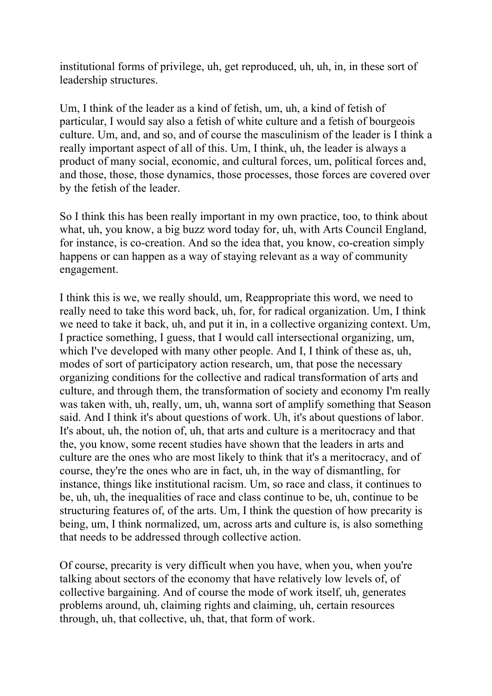institutional forms of privilege, uh, get reproduced, uh, uh, in, in these sort of leadership structures.

Um, I think of the leader as a kind of fetish, um, uh, a kind of fetish of particular, I would say also a fetish of white culture and a fetish of bourgeois culture. Um, and, and so, and of course the masculinism of the leader is I think a really important aspect of all of this. Um, I think, uh, the leader is always a product of many social, economic, and cultural forces, um, political forces and, and those, those, those dynamics, those processes, those forces are covered over by the fetish of the leader.

So I think this has been really important in my own practice, too, to think about what, uh, you know, a big buzz word today for, uh, with Arts Council England, for instance, is co-creation. And so the idea that, you know, co-creation simply happens or can happen as a way of staying relevant as a way of community engagement.

I think this is we, we really should, um, Reappropriate this word, we need to really need to take this word back, uh, for, for radical organization. Um, I think we need to take it back, uh, and put it in, in a collective organizing context. Um, I practice something, I guess, that I would call intersectional organizing, um, which I've developed with many other people. And I, I think of these as, uh, modes of sort of participatory action research, um, that pose the necessary organizing conditions for the collective and radical transformation of arts and culture, and through them, the transformation of society and economy I'm really was taken with, uh, really, um, uh, wanna sort of amplify something that Season said. And I think it's about questions of work. Uh, it's about questions of labor. It's about, uh, the notion of, uh, that arts and culture is a meritocracy and that the, you know, some recent studies have shown that the leaders in arts and culture are the ones who are most likely to think that it's a meritocracy, and of course, they're the ones who are in fact, uh, in the way of dismantling, for instance, things like institutional racism. Um, so race and class, it continues to be, uh, uh, the inequalities of race and class continue to be, uh, continue to be structuring features of, of the arts. Um, I think the question of how precarity is being, um, I think normalized, um, across arts and culture is, is also something that needs to be addressed through collective action.

Of course, precarity is very difficult when you have, when you, when you're talking about sectors of the economy that have relatively low levels of, of collective bargaining. And of course the mode of work itself, uh, generates problems around, uh, claiming rights and claiming, uh, certain resources through, uh, that collective, uh, that, that form of work.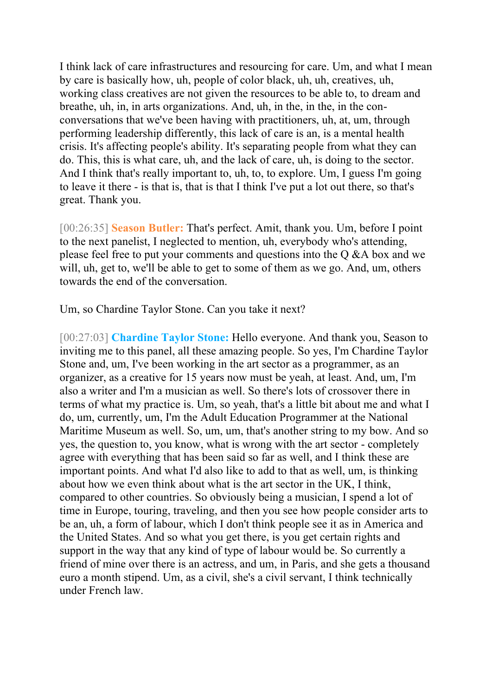I think lack of care infrastructures and resourcing for care. Um, and what I mean by care is basically how, uh, people of color black, uh, uh, creatives, uh, working class creatives are not given the resources to be able to, to dream and breathe, uh, in, in arts organizations. And, uh, in the, in the, in the conconversations that we've been having with practitioners, uh, at, um, through performing leadership differently, this lack of care is an, is a mental health crisis. It's affecting people's ability. It's separating people from what they can do. This, this is what care, uh, and the lack of care, uh, is doing to the sector. And I think that's really important to, uh, to, to explore. Um, I guess I'm going to leave it there - is that is, that is that I think I've put a lot out there, so that's great. Thank you.

[00:26:35] **Season Butler:** That's perfect. Amit, thank you. Um, before I point to the next panelist, I neglected to mention, uh, everybody who's attending, please feel free to put your comments and questions into the Q &A box and we will, uh, get to, we'll be able to get to some of them as we go. And, um, others towards the end of the conversation.

Um, so Chardine Taylor Stone. Can you take it next?

[00:27:03] **Chardine Taylor Stone:** Hello everyone. And thank you, Season to inviting me to this panel, all these amazing people. So yes, I'm Chardine Taylor Stone and, um, I've been working in the art sector as a programmer, as an organizer, as a creative for 15 years now must be yeah, at least. And, um, I'm also a writer and I'm a musician as well. So there's lots of crossover there in terms of what my practice is. Um, so yeah, that's a little bit about me and what I do, um, currently, um, I'm the Adult Education Programmer at the National Maritime Museum as well. So, um, um, that's another string to my bow. And so yes, the question to, you know, what is wrong with the art sector - completely agree with everything that has been said so far as well, and I think these are important points. And what I'd also like to add to that as well, um, is thinking about how we even think about what is the art sector in the UK, I think, compared to other countries. So obviously being a musician, I spend a lot of time in Europe, touring, traveling, and then you see how people consider arts to be an, uh, a form of labour, which I don't think people see it as in America and the United States. And so what you get there, is you get certain rights and support in the way that any kind of type of labour would be. So currently a friend of mine over there is an actress, and um, in Paris, and she gets a thousand euro a month stipend. Um, as a civil, she's a civil servant, I think technically under French law.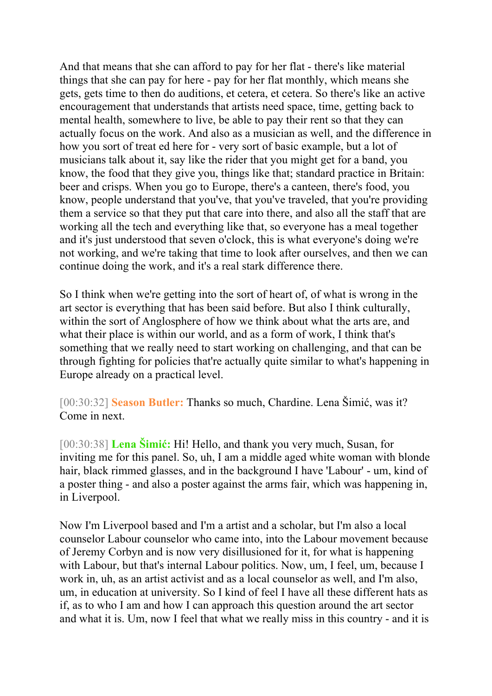And that means that she can afford to pay for her flat - there's like material things that she can pay for here - pay for her flat monthly, which means she gets, gets time to then do auditions, et cetera, et cetera. So there's like an active encouragement that understands that artists need space, time, getting back to mental health, somewhere to live, be able to pay their rent so that they can actually focus on the work. And also as a musician as well, and the difference in how you sort of treat ed here for - very sort of basic example, but a lot of musicians talk about it, say like the rider that you might get for a band, you know, the food that they give you, things like that; standard practice in Britain: beer and crisps. When you go to Europe, there's a canteen, there's food, you know, people understand that you've, that you've traveled, that you're providing them a service so that they put that care into there, and also all the staff that are working all the tech and everything like that, so everyone has a meal together and it's just understood that seven o'clock, this is what everyone's doing we're not working, and we're taking that time to look after ourselves, and then we can continue doing the work, and it's a real stark difference there.

So I think when we're getting into the sort of heart of, of what is wrong in the art sector is everything that has been said before. But also I think culturally, within the sort of Anglosphere of how we think about what the arts are, and what their place is within our world, and as a form of work, I think that's something that we really need to start working on challenging, and that can be through fighting for policies that're actually quite similar to what's happening in Europe already on a practical level.

[00:30:32] **Season Butler:** Thanks so much, Chardine. Lena Šimić, was it? Come in next.

[00:30:38] **Lena Šimić:** Hi! Hello, and thank you very much, Susan, for inviting me for this panel. So, uh, I am a middle aged white woman with blonde hair, black rimmed glasses, and in the background I have 'Labour' - um, kind of a poster thing - and also a poster against the arms fair, which was happening in, in Liverpool.

Now I'm Liverpool based and I'm a artist and a scholar, but I'm also a local counselor Labour counselor who came into, into the Labour movement because of Jeremy Corbyn and is now very disillusioned for it, for what is happening with Labour, but that's internal Labour politics. Now, um, I feel, um, because I work in, uh, as an artist activist and as a local counselor as well, and I'm also, um, in education at university. So I kind of feel I have all these different hats as if, as to who I am and how I can approach this question around the art sector and what it is. Um, now I feel that what we really miss in this country - and it is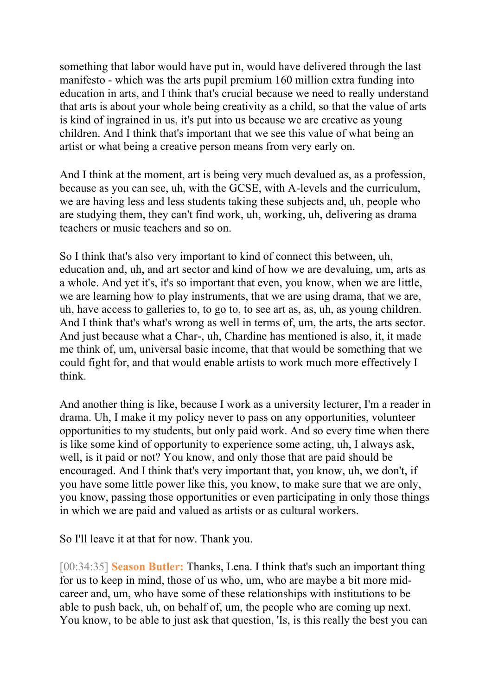something that labor would have put in, would have delivered through the last manifesto - which was the arts pupil premium 160 million extra funding into education in arts, and I think that's crucial because we need to really understand that arts is about your whole being creativity as a child, so that the value of arts is kind of ingrained in us, it's put into us because we are creative as young children. And I think that's important that we see this value of what being an artist or what being a creative person means from very early on.

And I think at the moment, art is being very much devalued as, as a profession, because as you can see, uh, with the GCSE, with A-levels and the curriculum, we are having less and less students taking these subjects and, uh, people who are studying them, they can't find work, uh, working, uh, delivering as drama teachers or music teachers and so on.

So I think that's also very important to kind of connect this between, uh, education and, uh, and art sector and kind of how we are devaluing, um, arts as a whole. And yet it's, it's so important that even, you know, when we are little, we are learning how to play instruments, that we are using drama, that we are, uh, have access to galleries to, to go to, to see art as, as, uh, as young children. And I think that's what's wrong as well in terms of, um, the arts, the arts sector. And just because what a Char-, uh, Chardine has mentioned is also, it, it made me think of, um, universal basic income, that that would be something that we could fight for, and that would enable artists to work much more effectively I think.

And another thing is like, because I work as a university lecturer, I'm a reader in drama. Uh, I make it my policy never to pass on any opportunities, volunteer opportunities to my students, but only paid work. And so every time when there is like some kind of opportunity to experience some acting, uh, I always ask, well, is it paid or not? You know, and only those that are paid should be encouraged. And I think that's very important that, you know, uh, we don't, if you have some little power like this, you know, to make sure that we are only, you know, passing those opportunities or even participating in only those things in which we are paid and valued as artists or as cultural workers.

So I'll leave it at that for now. Thank you.

[00:34:35] **Season Butler:** Thanks, Lena. I think that's such an important thing for us to keep in mind, those of us who, um, who are maybe a bit more midcareer and, um, who have some of these relationships with institutions to be able to push back, uh, on behalf of, um, the people who are coming up next. You know, to be able to just ask that question, 'Is, is this really the best you can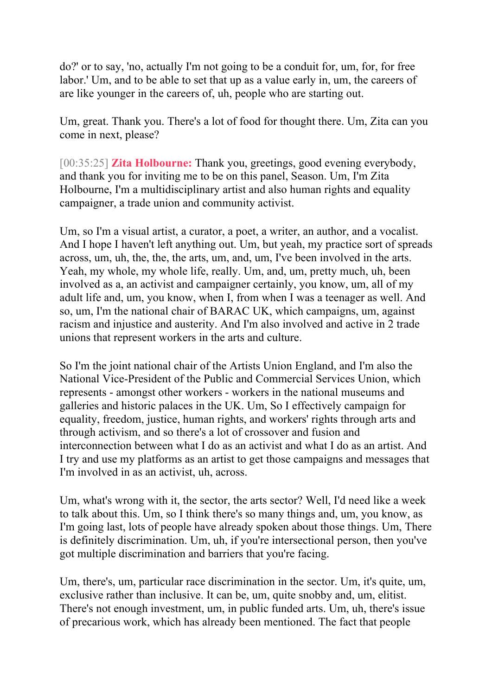do?' or to say, 'no, actually I'm not going to be a conduit for, um, for, for free labor.' Um, and to be able to set that up as a value early in, um, the careers of are like younger in the careers of, uh, people who are starting out.

Um, great. Thank you. There's a lot of food for thought there. Um, Zita can you come in next, please?

[00:35:25] **Zita Holbourne:** Thank you, greetings, good evening everybody, and thank you for inviting me to be on this panel, Season. Um, I'm Zita Holbourne, I'm a multidisciplinary artist and also human rights and equality campaigner, a trade union and community activist.

Um, so I'm a visual artist, a curator, a poet, a writer, an author, and a vocalist. And I hope I haven't left anything out. Um, but yeah, my practice sort of spreads across, um, uh, the, the, the arts, um, and, um, I've been involved in the arts. Yeah, my whole, my whole life, really. Um, and, um, pretty much, uh, been involved as a, an activist and campaigner certainly, you know, um, all of my adult life and, um, you know, when I, from when I was a teenager as well. And so, um, I'm the national chair of BARAC UK, which campaigns, um, against racism and injustice and austerity. And I'm also involved and active in 2 trade unions that represent workers in the arts and culture.

So I'm the joint national chair of the Artists Union England, and I'm also the National Vice-President of the Public and Commercial Services Union, which represents - amongst other workers - workers in the national museums and galleries and historic palaces in the UK. Um, So I effectively campaign for equality, freedom, justice, human rights, and workers' rights through arts and through activism, and so there's a lot of crossover and fusion and interconnection between what I do as an activist and what I do as an artist. And I try and use my platforms as an artist to get those campaigns and messages that I'm involved in as an activist, uh, across.

Um, what's wrong with it, the sector, the arts sector? Well, I'd need like a week to talk about this. Um, so I think there's so many things and, um, you know, as I'm going last, lots of people have already spoken about those things. Um, There is definitely discrimination. Um, uh, if you're intersectional person, then you've got multiple discrimination and barriers that you're facing.

Um, there's, um, particular race discrimination in the sector. Um, it's quite, um, exclusive rather than inclusive. It can be, um, quite snobby and, um, elitist. There's not enough investment, um, in public funded arts. Um, uh, there's issue of precarious work, which has already been mentioned. The fact that people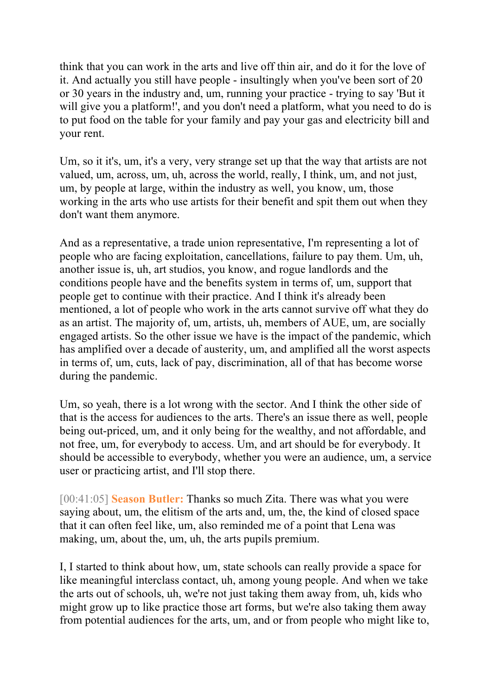think that you can work in the arts and live off thin air, and do it for the love of it. And actually you still have people - insultingly when you've been sort of 20 or 30 years in the industry and, um, running your practice - trying to say 'But it will give you a platform!', and you don't need a platform, what you need to do is to put food on the table for your family and pay your gas and electricity bill and your rent.

Um, so it it's, um, it's a very, very strange set up that the way that artists are not valued, um, across, um, uh, across the world, really, I think, um, and not just, um, by people at large, within the industry as well, you know, um, those working in the arts who use artists for their benefit and spit them out when they don't want them anymore.

And as a representative, a trade union representative, I'm representing a lot of people who are facing exploitation, cancellations, failure to pay them. Um, uh, another issue is, uh, art studios, you know, and rogue landlords and the conditions people have and the benefits system in terms of, um, support that people get to continue with their practice. And I think it's already been mentioned, a lot of people who work in the arts cannot survive off what they do as an artist. The majority of, um, artists, uh, members of AUE, um, are socially engaged artists. So the other issue we have is the impact of the pandemic, which has amplified over a decade of austerity, um, and amplified all the worst aspects in terms of, um, cuts, lack of pay, discrimination, all of that has become worse during the pandemic.

Um, so yeah, there is a lot wrong with the sector. And I think the other side of that is the access for audiences to the arts. There's an issue there as well, people being out-priced, um, and it only being for the wealthy, and not affordable, and not free, um, for everybody to access. Um, and art should be for everybody. It should be accessible to everybody, whether you were an audience, um, a service user or practicing artist, and I'll stop there.

[00:41:05] **Season Butler:** Thanks so much Zita. There was what you were saying about, um, the elitism of the arts and, um, the, the kind of closed space that it can often feel like, um, also reminded me of a point that Lena was making, um, about the, um, uh, the arts pupils premium.

I, I started to think about how, um, state schools can really provide a space for like meaningful interclass contact, uh, among young people. And when we take the arts out of schools, uh, we're not just taking them away from, uh, kids who might grow up to like practice those art forms, but we're also taking them away from potential audiences for the arts, um, and or from people who might like to,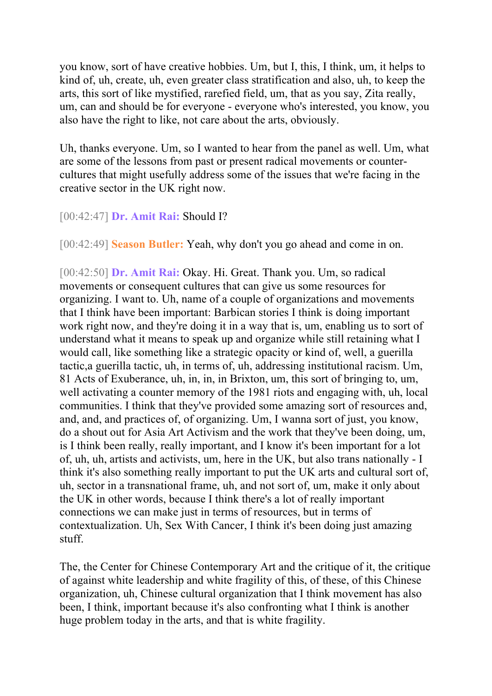you know, sort of have creative hobbies. Um, but I, this, I think, um, it helps to kind of, uh, create, uh, even greater class stratification and also, uh, to keep the arts, this sort of like mystified, rarefied field, um, that as you say, Zita really, um, can and should be for everyone - everyone who's interested, you know, you also have the right to like, not care about the arts, obviously.

Uh, thanks everyone. Um, so I wanted to hear from the panel as well. Um, what are some of the lessons from past or present radical movements or countercultures that might usefully address some of the issues that we're facing in the creative sector in the UK right now.

## [00:42:47] **Dr. Amit Rai:** Should I?

[00:42:49] **Season Butler:** Yeah, why don't you go ahead and come in on.

[00:42:50] **Dr. Amit Rai:** Okay. Hi. Great. Thank you. Um, so radical movements or consequent cultures that can give us some resources for organizing. I want to. Uh, name of a couple of organizations and movements that I think have been important: Barbican stories I think is doing important work right now, and they're doing it in a way that is, um, enabling us to sort of understand what it means to speak up and organize while still retaining what I would call, like something like a strategic opacity or kind of, well, a guerilla tactic,a guerilla tactic, uh, in terms of, uh, addressing institutional racism. Um, 81 Acts of Exuberance, uh, in, in, in Brixton, um, this sort of bringing to, um, well activating a counter memory of the 1981 riots and engaging with, uh, local communities. I think that they've provided some amazing sort of resources and, and, and, and practices of, of organizing. Um, I wanna sort of just, you know, do a shout out for Asia Art Activism and the work that they've been doing, um, is I think been really, really important, and I know it's been important for a lot of, uh, uh, artists and activists, um, here in the UK, but also trans nationally - I think it's also something really important to put the UK arts and cultural sort of, uh, sector in a transnational frame, uh, and not sort of, um, make it only about the UK in other words, because I think there's a lot of really important connections we can make just in terms of resources, but in terms of contextualization. Uh, Sex With Cancer, I think it's been doing just amazing stuff.

The, the Center for Chinese Contemporary Art and the critique of it, the critique of against white leadership and white fragility of this, of these, of this Chinese organization, uh, Chinese cultural organization that I think movement has also been, I think, important because it's also confronting what I think is another huge problem today in the arts, and that is white fragility.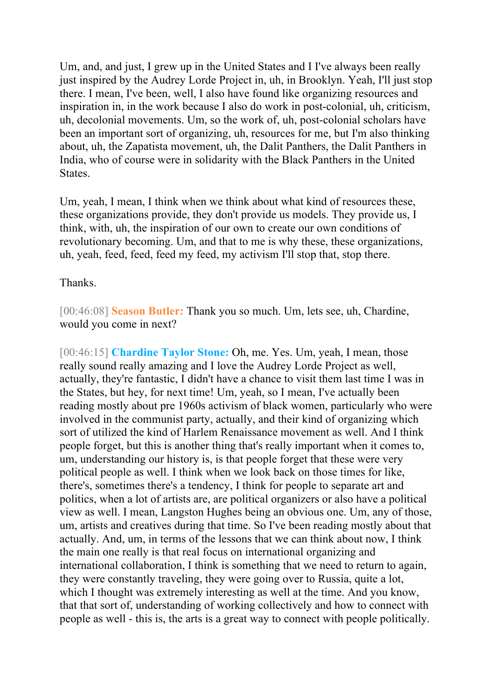Um, and, and just, I grew up in the United States and I I've always been really just inspired by the Audrey Lorde Project in, uh, in Brooklyn. Yeah, I'll just stop there. I mean, I've been, well, I also have found like organizing resources and inspiration in, in the work because I also do work in post-colonial, uh, criticism, uh, decolonial movements. Um, so the work of, uh, post-colonial scholars have been an important sort of organizing, uh, resources for me, but I'm also thinking about, uh, the Zapatista movement, uh, the Dalit Panthers, the Dalit Panthers in India, who of course were in solidarity with the Black Panthers in the United States.

Um, yeah, I mean, I think when we think about what kind of resources these, these organizations provide, they don't provide us models. They provide us, I think, with, uh, the inspiration of our own to create our own conditions of revolutionary becoming. Um, and that to me is why these, these organizations, uh, yeah, feed, feed, feed my feed, my activism I'll stop that, stop there.

## Thanks.

[00:46:08] **Season Butler:** Thank you so much. Um, lets see, uh, Chardine, would you come in next?

[00:46:15] **Chardine Taylor Stone:** Oh, me. Yes. Um, yeah, I mean, those really sound really amazing and I love the Audrey Lorde Project as well, actually, they're fantastic, I didn't have a chance to visit them last time I was in the States, but hey, for next time! Um, yeah, so I mean, I've actually been reading mostly about pre 1960s activism of black women, particularly who were involved in the communist party, actually, and their kind of organizing which sort of utilized the kind of Harlem Renaissance movement as well. And I think people forget, but this is another thing that's really important when it comes to, um, understanding our history is, is that people forget that these were very political people as well. I think when we look back on those times for like, there's, sometimes there's a tendency, I think for people to separate art and politics, when a lot of artists are, are political organizers or also have a political view as well. I mean, Langston Hughes being an obvious one. Um, any of those, um, artists and creatives during that time. So I've been reading mostly about that actually. And, um, in terms of the lessons that we can think about now, I think the main one really is that real focus on international organizing and international collaboration, I think is something that we need to return to again, they were constantly traveling, they were going over to Russia, quite a lot, which I thought was extremely interesting as well at the time. And you know, that that sort of, understanding of working collectively and how to connect with people as well - this is, the arts is a great way to connect with people politically.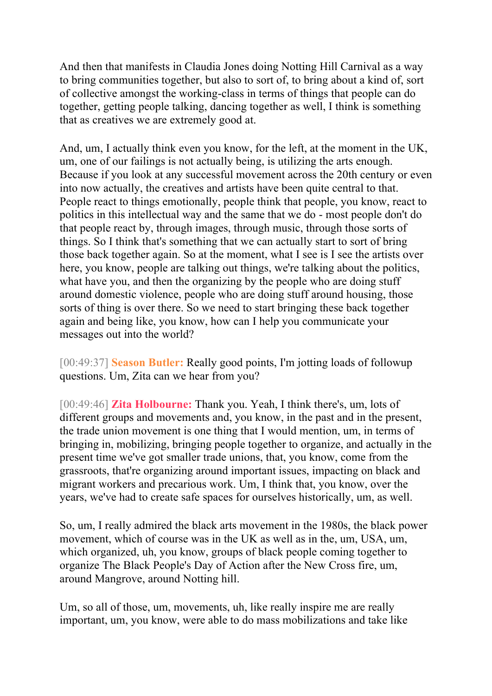And then that manifests in Claudia Jones doing Notting Hill Carnival as a way to bring communities together, but also to sort of, to bring about a kind of, sort of collective amongst the working-class in terms of things that people can do together, getting people talking, dancing together as well, I think is something that as creatives we are extremely good at.

And, um, I actually think even you know, for the left, at the moment in the UK, um, one of our failings is not actually being, is utilizing the arts enough. Because if you look at any successful movement across the 20th century or even into now actually, the creatives and artists have been quite central to that. People react to things emotionally, people think that people, you know, react to politics in this intellectual way and the same that we do - most people don't do that people react by, through images, through music, through those sorts of things. So I think that's something that we can actually start to sort of bring those back together again. So at the moment, what I see is I see the artists over here, you know, people are talking out things, we're talking about the politics, what have you, and then the organizing by the people who are doing stuff around domestic violence, people who are doing stuff around housing, those sorts of thing is over there. So we need to start bringing these back together again and being like, you know, how can I help you communicate your messages out into the world?

[00:49:37] **Season Butler:** Really good points, I'm jotting loads of followup questions. Um, Zita can we hear from you?

[00:49:46] **Zita Holbourne:** Thank you. Yeah, I think there's, um, lots of different groups and movements and, you know, in the past and in the present, the trade union movement is one thing that I would mention, um, in terms of bringing in, mobilizing, bringing people together to organize, and actually in the present time we've got smaller trade unions, that, you know, come from the grassroots, that're organizing around important issues, impacting on black and migrant workers and precarious work. Um, I think that, you know, over the years, we've had to create safe spaces for ourselves historically, um, as well.

So, um, I really admired the black arts movement in the 1980s, the black power movement, which of course was in the UK as well as in the, um, USA, um, which organized, uh, you know, groups of black people coming together to organize The Black People's Day of Action after the New Cross fire, um, around Mangrove, around Notting hill.

Um, so all of those, um, movements, uh, like really inspire me are really important, um, you know, were able to do mass mobilizations and take like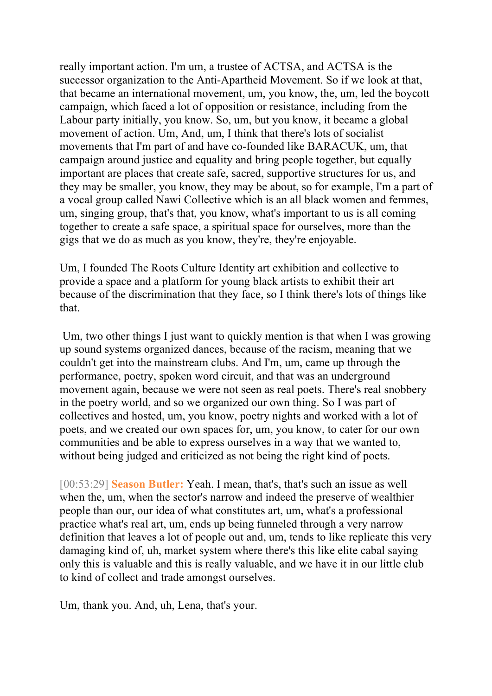really important action. I'm um, a trustee of ACTSA, and ACTSA is the successor organization to the Anti-Apartheid Movement. So if we look at that, that became an international movement, um, you know, the, um, led the boycott campaign, which faced a lot of opposition or resistance, including from the Labour party initially, you know. So, um, but you know, it became a global movement of action. Um, And, um, I think that there's lots of socialist movements that I'm part of and have co-founded like BARACUK, um, that campaign around justice and equality and bring people together, but equally important are places that create safe, sacred, supportive structures for us, and they may be smaller, you know, they may be about, so for example, I'm a part of a vocal group called Nawi Collective which is an all black women and femmes, um, singing group, that's that, you know, what's important to us is all coming together to create a safe space, a spiritual space for ourselves, more than the gigs that we do as much as you know, they're, they're enjoyable.

Um, I founded The Roots Culture Identity art exhibition and collective to provide a space and a platform for young black artists to exhibit their art because of the discrimination that they face, so I think there's lots of things like that.

Um, two other things I just want to quickly mention is that when I was growing up sound systems organized dances, because of the racism, meaning that we couldn't get into the mainstream clubs. And I'm, um, came up through the performance, poetry, spoken word circuit, and that was an underground movement again, because we were not seen as real poets. There's real snobbery in the poetry world, and so we organized our own thing. So I was part of collectives and hosted, um, you know, poetry nights and worked with a lot of poets, and we created our own spaces for, um, you know, to cater for our own communities and be able to express ourselves in a way that we wanted to, without being judged and criticized as not being the right kind of poets.

[00:53:29] **Season Butler:** Yeah. I mean, that's, that's such an issue as well when the, um, when the sector's narrow and indeed the preserve of wealthier people than our, our idea of what constitutes art, um, what's a professional practice what's real art, um, ends up being funneled through a very narrow definition that leaves a lot of people out and, um, tends to like replicate this very damaging kind of, uh, market system where there's this like elite cabal saying only this is valuable and this is really valuable, and we have it in our little club to kind of collect and trade amongst ourselves.

Um, thank you. And, uh, Lena, that's your.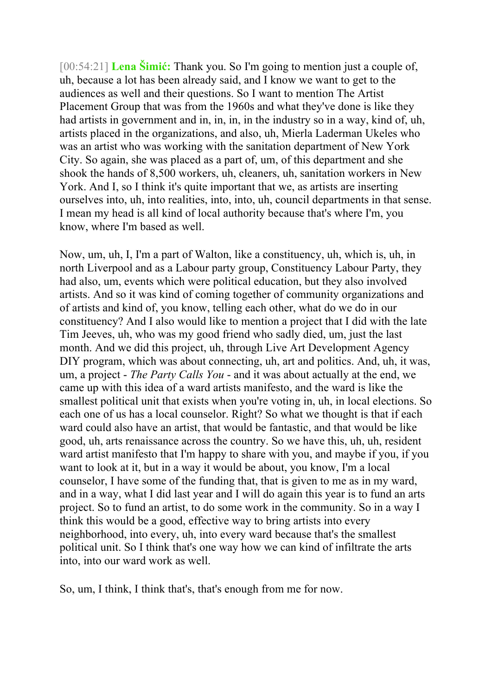[00:54:21] **Lena Šimić:** Thank you. So I'm going to mention just a couple of, uh, because a lot has been already said, and I know we want to get to the audiences as well and their questions. So I want to mention The Artist Placement Group that was from the 1960s and what they've done is like they had artists in government and in, in, in, in the industry so in a way, kind of, uh, artists placed in the organizations, and also, uh, Mierla Laderman Ukeles who was an artist who was working with the sanitation department of New York City. So again, she was placed as a part of, um, of this department and she shook the hands of 8,500 workers, uh, cleaners, uh, sanitation workers in New York. And I, so I think it's quite important that we, as artists are inserting ourselves into, uh, into realities, into, into, uh, council departments in that sense. I mean my head is all kind of local authority because that's where I'm, you know, where I'm based as well.

Now, um, uh, I, I'm a part of Walton, like a constituency, uh, which is, uh, in north Liverpool and as a Labour party group, Constituency Labour Party, they had also, um, events which were political education, but they also involved artists. And so it was kind of coming together of community organizations and of artists and kind of, you know, telling each other, what do we do in our constituency? And I also would like to mention a project that I did with the late Tim Jeeves, uh, who was my good friend who sadly died, um, just the last month. And we did this project, uh, through Live Art Development Agency DIY program, which was about connecting, uh, art and politics. And, uh, it was, um, a project - *The Party Calls You* - and it was about actually at the end, we came up with this idea of a ward artists manifesto, and the ward is like the smallest political unit that exists when you're voting in, uh, in local elections. So each one of us has a local counselor. Right? So what we thought is that if each ward could also have an artist, that would be fantastic, and that would be like good, uh, arts renaissance across the country. So we have this, uh, uh, resident ward artist manifesto that I'm happy to share with you, and maybe if you, if you want to look at it, but in a way it would be about, you know, I'm a local counselor, I have some of the funding that, that is given to me as in my ward, and in a way, what I did last year and I will do again this year is to fund an arts project. So to fund an artist, to do some work in the community. So in a way I think this would be a good, effective way to bring artists into every neighborhood, into every, uh, into every ward because that's the smallest political unit. So I think that's one way how we can kind of infiltrate the arts into, into our ward work as well.

So, um, I think, I think that's, that's enough from me for now.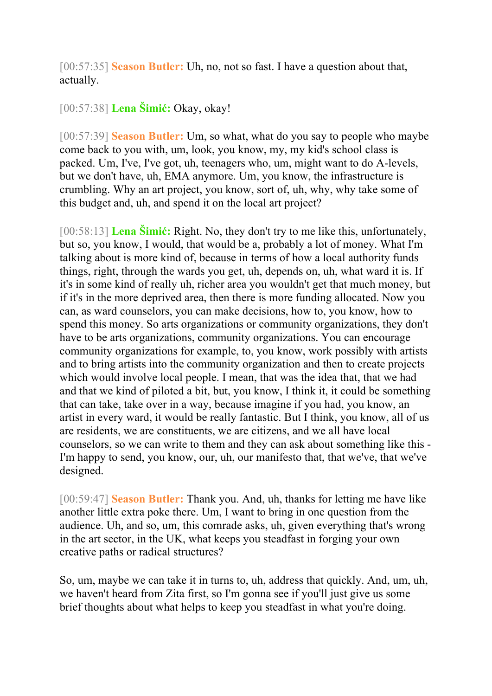[00:57:35] **Season Butler:** Uh, no, not so fast. I have a question about that, actually.

## [00:57:38] **Lena Šimić:** Okay, okay!

[00:57:39] **Season Butler:** Um, so what, what do you say to people who maybe come back to you with, um, look, you know, my, my kid's school class is packed. Um, I've, I've got, uh, teenagers who, um, might want to do A-levels, but we don't have, uh, EMA anymore. Um, you know, the infrastructure is crumbling. Why an art project, you know, sort of, uh, why, why take some of this budget and, uh, and spend it on the local art project?

[00:58:13] **Lena Šimić:** Right. No, they don't try to me like this, unfortunately, but so, you know, I would, that would be a, probably a lot of money. What I'm talking about is more kind of, because in terms of how a local authority funds things, right, through the wards you get, uh, depends on, uh, what ward it is. If it's in some kind of really uh, richer area you wouldn't get that much money, but if it's in the more deprived area, then there is more funding allocated. Now you can, as ward counselors, you can make decisions, how to, you know, how to spend this money. So arts organizations or community organizations, they don't have to be arts organizations, community organizations. You can encourage community organizations for example, to, you know, work possibly with artists and to bring artists into the community organization and then to create projects which would involve local people. I mean, that was the idea that, that we had and that we kind of piloted a bit, but, you know, I think it, it could be something that can take, take over in a way, because imagine if you had, you know, an artist in every ward, it would be really fantastic. But I think, you know, all of us are residents, we are constituents, we are citizens, and we all have local counselors, so we can write to them and they can ask about something like this - I'm happy to send, you know, our, uh, our manifesto that, that we've, that we've designed.

[00:59:47] **Season Butler:** Thank you. And, uh, thanks for letting me have like another little extra poke there. Um, I want to bring in one question from the audience. Uh, and so, um, this comrade asks, uh, given everything that's wrong in the art sector, in the UK, what keeps you steadfast in forging your own creative paths or radical structures?

So, um, maybe we can take it in turns to, uh, address that quickly. And, um, uh, we haven't heard from Zita first, so I'm gonna see if you'll just give us some brief thoughts about what helps to keep you steadfast in what you're doing.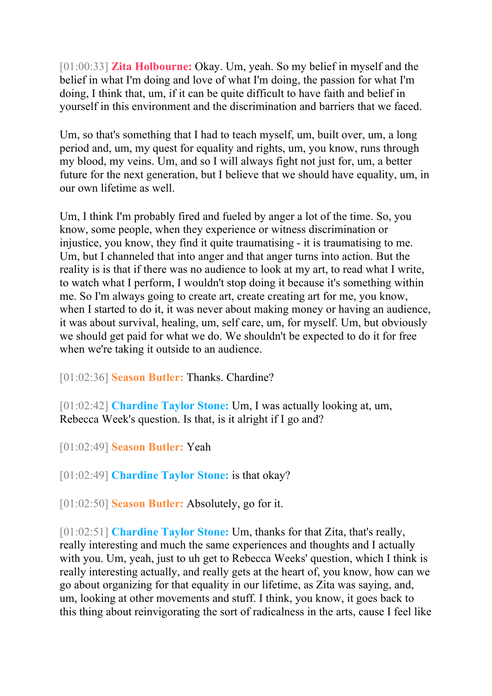[01:00:33] **Zita Holbourne:** Okay. Um, yeah. So my belief in myself and the belief in what I'm doing and love of what I'm doing, the passion for what I'm doing, I think that, um, if it can be quite difficult to have faith and belief in yourself in this environment and the discrimination and barriers that we faced.

Um, so that's something that I had to teach myself, um, built over, um, a long period and, um, my quest for equality and rights, um, you know, runs through my blood, my veins. Um, and so I will always fight not just for, um, a better future for the next generation, but I believe that we should have equality, um, in our own lifetime as well.

Um, I think I'm probably fired and fueled by anger a lot of the time. So, you know, some people, when they experience or witness discrimination or injustice, you know, they find it quite traumatising - it is traumatising to me. Um, but I channeled that into anger and that anger turns into action. But the reality is is that if there was no audience to look at my art, to read what I write, to watch what I perform, I wouldn't stop doing it because it's something within me. So I'm always going to create art, create creating art for me, you know, when I started to do it, it was never about making money or having an audience, it was about survival, healing, um, self care, um, for myself. Um, but obviously we should get paid for what we do. We shouldn't be expected to do it for free when we're taking it outside to an audience.

[01:02:36] **Season Butler:** Thanks. Chardine?

[01:02:42] **Chardine Taylor Stone:** Um, I was actually looking at, um, Rebecca Week's question. Is that, is it alright if I go and?

[01:02:49] **Season Butler:** Yeah

[01:02:49] **Chardine Taylor Stone:** is that okay?

[01:02:50] **Season Butler:** Absolutely, go for it.

[01:02:51] **Chardine Taylor Stone:** Um, thanks for that Zita, that's really, really interesting and much the same experiences and thoughts and I actually with you. Um, yeah, just to uh get to Rebecca Weeks' question, which I think is really interesting actually, and really gets at the heart of, you know, how can we go about organizing for that equality in our lifetime, as Zita was saying, and, um, looking at other movements and stuff. I think, you know, it goes back to this thing about reinvigorating the sort of radicalness in the arts, cause I feel like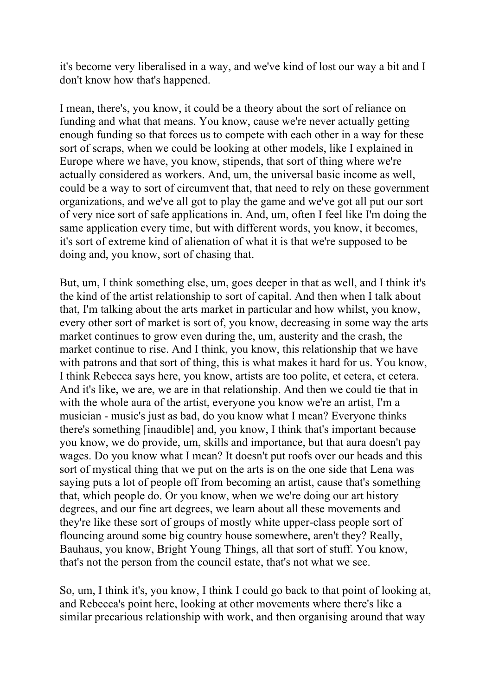it's become very liberalised in a way, and we've kind of lost our way a bit and I don't know how that's happened.

I mean, there's, you know, it could be a theory about the sort of reliance on funding and what that means. You know, cause we're never actually getting enough funding so that forces us to compete with each other in a way for these sort of scraps, when we could be looking at other models, like I explained in Europe where we have, you know, stipends, that sort of thing where we're actually considered as workers. And, um, the universal basic income as well, could be a way to sort of circumvent that, that need to rely on these government organizations, and we've all got to play the game and we've got all put our sort of very nice sort of safe applications in. And, um, often I feel like I'm doing the same application every time, but with different words, you know, it becomes, it's sort of extreme kind of alienation of what it is that we're supposed to be doing and, you know, sort of chasing that.

But, um, I think something else, um, goes deeper in that as well, and I think it's the kind of the artist relationship to sort of capital. And then when I talk about that, I'm talking about the arts market in particular and how whilst, you know, every other sort of market is sort of, you know, decreasing in some way the arts market continues to grow even during the, um, austerity and the crash, the market continue to rise. And I think, you know, this relationship that we have with patrons and that sort of thing, this is what makes it hard for us. You know, I think Rebecca says here, you know, artists are too polite, et cetera, et cetera. And it's like, we are, we are in that relationship. And then we could tie that in with the whole aura of the artist, everyone you know we're an artist, I'm a musician - music's just as bad, do you know what I mean? Everyone thinks there's something [inaudible] and, you know, I think that's important because you know, we do provide, um, skills and importance, but that aura doesn't pay wages. Do you know what I mean? It doesn't put roofs over our heads and this sort of mystical thing that we put on the arts is on the one side that Lena was saying puts a lot of people off from becoming an artist, cause that's something that, which people do. Or you know, when we we're doing our art history degrees, and our fine art degrees, we learn about all these movements and they're like these sort of groups of mostly white upper-class people sort of flouncing around some big country house somewhere, aren't they? Really, Bauhaus, you know, Bright Young Things, all that sort of stuff. You know, that's not the person from the council estate, that's not what we see.

So, um, I think it's, you know, I think I could go back to that point of looking at, and Rebecca's point here, looking at other movements where there's like a similar precarious relationship with work, and then organising around that way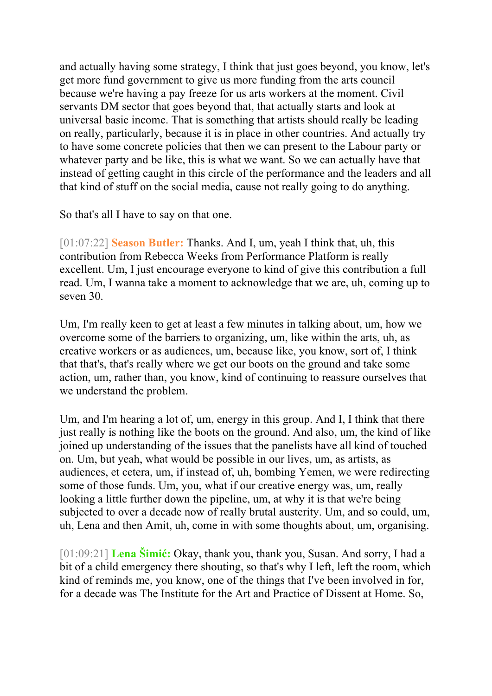and actually having some strategy, I think that just goes beyond, you know, let's get more fund government to give us more funding from the arts council because we're having a pay freeze for us arts workers at the moment. Civil servants DM sector that goes beyond that, that actually starts and look at universal basic income. That is something that artists should really be leading on really, particularly, because it is in place in other countries. And actually try to have some concrete policies that then we can present to the Labour party or whatever party and be like, this is what we want. So we can actually have that instead of getting caught in this circle of the performance and the leaders and all that kind of stuff on the social media, cause not really going to do anything.

So that's all I have to say on that one.

[01:07:22] **Season Butler:** Thanks. And I, um, yeah I think that, uh, this contribution from Rebecca Weeks from Performance Platform is really excellent. Um, I just encourage everyone to kind of give this contribution a full read. Um, I wanna take a moment to acknowledge that we are, uh, coming up to seven 30.

Um, I'm really keen to get at least a few minutes in talking about, um, how we overcome some of the barriers to organizing, um, like within the arts, uh, as creative workers or as audiences, um, because like, you know, sort of, I think that that's, that's really where we get our boots on the ground and take some action, um, rather than, you know, kind of continuing to reassure ourselves that we understand the problem.

Um, and I'm hearing a lot of, um, energy in this group. And I, I think that there just really is nothing like the boots on the ground. And also, um, the kind of like joined up understanding of the issues that the panelists have all kind of touched on. Um, but yeah, what would be possible in our lives, um, as artists, as audiences, et cetera, um, if instead of, uh, bombing Yemen, we were redirecting some of those funds. Um, you, what if our creative energy was, um, really looking a little further down the pipeline, um, at why it is that we're being subjected to over a decade now of really brutal austerity. Um, and so could, um, uh, Lena and then Amit, uh, come in with some thoughts about, um, organising.

[01:09:21] **Lena Šimić:** Okay, thank you, thank you, Susan. And sorry, I had a bit of a child emergency there shouting, so that's why I left, left the room, which kind of reminds me, you know, one of the things that I've been involved in for, for a decade was The Institute for the Art and Practice of Dissent at Home. So,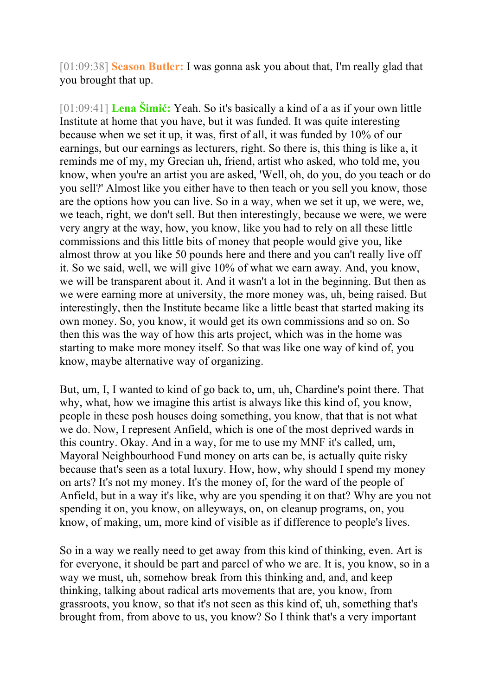[01:09:38] **Season Butler:** I was gonna ask you about that, I'm really glad that you brought that up.

[01:09:41] **Lena Šimić:** Yeah. So it's basically a kind of a as if your own little Institute at home that you have, but it was funded. It was quite interesting because when we set it up, it was, first of all, it was funded by 10% of our earnings, but our earnings as lecturers, right. So there is, this thing is like a, it reminds me of my, my Grecian uh, friend, artist who asked, who told me, you know, when you're an artist you are asked, 'Well, oh, do you, do you teach or do you sell?' Almost like you either have to then teach or you sell you know, those are the options how you can live. So in a way, when we set it up, we were, we, we teach, right, we don't sell. But then interestingly, because we were, we were very angry at the way, how, you know, like you had to rely on all these little commissions and this little bits of money that people would give you, like almost throw at you like 50 pounds here and there and you can't really live off it. So we said, well, we will give 10% of what we earn away. And, you know, we will be transparent about it. And it wasn't a lot in the beginning. But then as we were earning more at university, the more money was, uh, being raised. But interestingly, then the Institute became like a little beast that started making its own money. So, you know, it would get its own commissions and so on. So then this was the way of how this arts project, which was in the home was starting to make more money itself. So that was like one way of kind of, you know, maybe alternative way of organizing.

But, um, I, I wanted to kind of go back to, um, uh, Chardine's point there. That why, what, how we imagine this artist is always like this kind of, you know, people in these posh houses doing something, you know, that that is not what we do. Now, I represent Anfield, which is one of the most deprived wards in this country. Okay. And in a way, for me to use my MNF it's called, um, Mayoral Neighbourhood Fund money on arts can be, is actually quite risky because that's seen as a total luxury. How, how, why should I spend my money on arts? It's not my money. It's the money of, for the ward of the people of Anfield, but in a way it's like, why are you spending it on that? Why are you not spending it on, you know, on alleyways, on, on cleanup programs, on, you know, of making, um, more kind of visible as if difference to people's lives.

So in a way we really need to get away from this kind of thinking, even. Art is for everyone, it should be part and parcel of who we are. It is, you know, so in a way we must, uh, somehow break from this thinking and, and, and keep thinking, talking about radical arts movements that are, you know, from grassroots, you know, so that it's not seen as this kind of, uh, something that's brought from, from above to us, you know? So I think that's a very important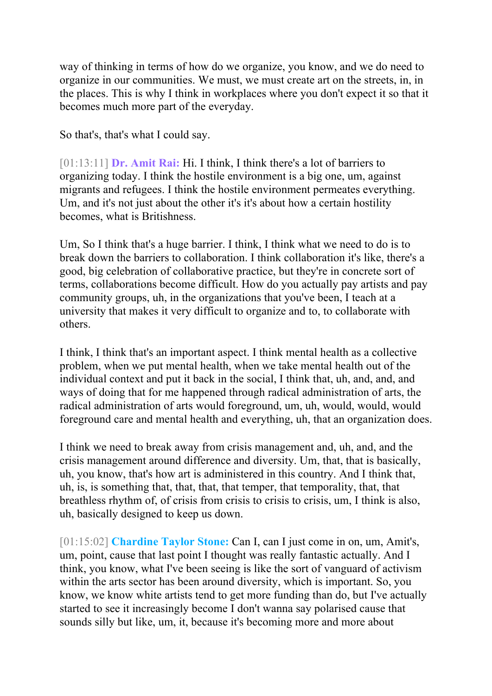way of thinking in terms of how do we organize, you know, and we do need to organize in our communities. We must, we must create art on the streets, in, in the places. This is why I think in workplaces where you don't expect it so that it becomes much more part of the everyday.

So that's, that's what I could say.

[01:13:11] **Dr. Amit Rai:** Hi. I think, I think there's a lot of barriers to organizing today. I think the hostile environment is a big one, um, against migrants and refugees. I think the hostile environment permeates everything. Um, and it's not just about the other it's it's about how a certain hostility becomes, what is Britishness.

Um, So I think that's a huge barrier. I think, I think what we need to do is to break down the barriers to collaboration. I think collaboration it's like, there's a good, big celebration of collaborative practice, but they're in concrete sort of terms, collaborations become difficult. How do you actually pay artists and pay community groups, uh, in the organizations that you've been, I teach at a university that makes it very difficult to organize and to, to collaborate with others.

I think, I think that's an important aspect. I think mental health as a collective problem, when we put mental health, when we take mental health out of the individual context and put it back in the social, I think that, uh, and, and, and ways of doing that for me happened through radical administration of arts, the radical administration of arts would foreground, um, uh, would, would, would foreground care and mental health and everything, uh, that an organization does.

I think we need to break away from crisis management and, uh, and, and the crisis management around difference and diversity. Um, that, that is basically, uh, you know, that's how art is administered in this country. And I think that, uh, is, is something that, that, that, that temper, that temporality, that, that breathless rhythm of, of crisis from crisis to crisis to crisis, um, I think is also, uh, basically designed to keep us down.

[01:15:02] **Chardine Taylor Stone:** Can I, can I just come in on, um, Amit's, um, point, cause that last point I thought was really fantastic actually. And I think, you know, what I've been seeing is like the sort of vanguard of activism within the arts sector has been around diversity, which is important. So, you know, we know white artists tend to get more funding than do, but I've actually started to see it increasingly become I don't wanna say polarised cause that sounds silly but like, um, it, because it's becoming more and more about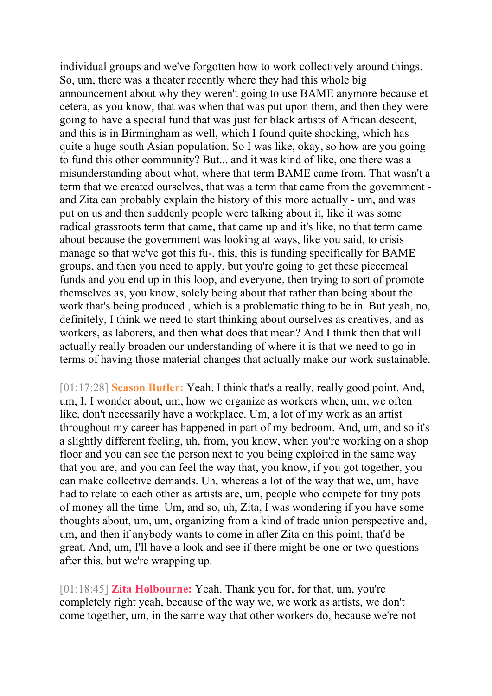individual groups and we've forgotten how to work collectively around things. So, um, there was a theater recently where they had this whole big announcement about why they weren't going to use BAME anymore because et cetera, as you know, that was when that was put upon them, and then they were going to have a special fund that was just for black artists of African descent, and this is in Birmingham as well, which I found quite shocking, which has quite a huge south Asian population. So I was like, okay, so how are you going to fund this other community? But... and it was kind of like, one there was a misunderstanding about what, where that term BAME came from. That wasn't a term that we created ourselves, that was a term that came from the government and Zita can probably explain the history of this more actually - um, and was put on us and then suddenly people were talking about it, like it was some radical grassroots term that came, that came up and it's like, no that term came about because the government was looking at ways, like you said, to crisis manage so that we've got this fu-, this, this is funding specifically for BAME groups, and then you need to apply, but you're going to get these piecemeal funds and you end up in this loop, and everyone, then trying to sort of promote themselves as, you know, solely being about that rather than being about the work that's being produced , which is a problematic thing to be in. But yeah, no, definitely, I think we need to start thinking about ourselves as creatives, and as workers, as laborers, and then what does that mean? And I think then that will actually really broaden our understanding of where it is that we need to go in terms of having those material changes that actually make our work sustainable.

[01:17:28] **Season Butler:** Yeah. I think that's a really, really good point. And, um, I, I wonder about, um, how we organize as workers when, um, we often like, don't necessarily have a workplace. Um, a lot of my work as an artist throughout my career has happened in part of my bedroom. And, um, and so it's a slightly different feeling, uh, from, you know, when you're working on a shop floor and you can see the person next to you being exploited in the same way that you are, and you can feel the way that, you know, if you got together, you can make collective demands. Uh, whereas a lot of the way that we, um, have had to relate to each other as artists are, um, people who compete for tiny pots of money all the time. Um, and so, uh, Zita, I was wondering if you have some thoughts about, um, um, organizing from a kind of trade union perspective and, um, and then if anybody wants to come in after Zita on this point, that'd be great. And, um, I'll have a look and see if there might be one or two questions after this, but we're wrapping up.

[01:18:45] **Zita Holbourne:** Yeah. Thank you for, for that, um, you're completely right yeah, because of the way we, we work as artists, we don't come together, um, in the same way that other workers do, because we're not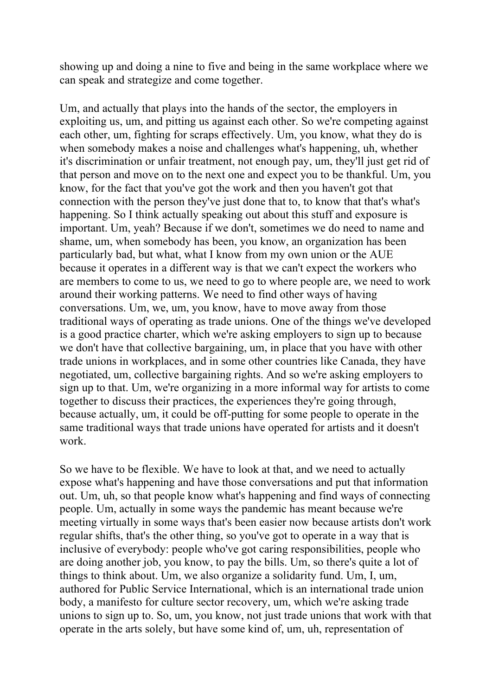showing up and doing a nine to five and being in the same workplace where we can speak and strategize and come together.

Um, and actually that plays into the hands of the sector, the employers in exploiting us, um, and pitting us against each other. So we're competing against each other, um, fighting for scraps effectively. Um, you know, what they do is when somebody makes a noise and challenges what's happening, uh, whether it's discrimination or unfair treatment, not enough pay, um, they'll just get rid of that person and move on to the next one and expect you to be thankful. Um, you know, for the fact that you've got the work and then you haven't got that connection with the person they've just done that to, to know that that's what's happening. So I think actually speaking out about this stuff and exposure is important. Um, yeah? Because if we don't, sometimes we do need to name and shame, um, when somebody has been, you know, an organization has been particularly bad, but what, what I know from my own union or the AUE because it operates in a different way is that we can't expect the workers who are members to come to us, we need to go to where people are, we need to work around their working patterns. We need to find other ways of having conversations. Um, we, um, you know, have to move away from those traditional ways of operating as trade unions. One of the things we've developed is a good practice charter, which we're asking employers to sign up to because we don't have that collective bargaining, um, in place that you have with other trade unions in workplaces, and in some other countries like Canada, they have negotiated, um, collective bargaining rights. And so we're asking employers to sign up to that. Um, we're organizing in a more informal way for artists to come together to discuss their practices, the experiences they're going through, because actually, um, it could be off-putting for some people to operate in the same traditional ways that trade unions have operated for artists and it doesn't work.

So we have to be flexible. We have to look at that, and we need to actually expose what's happening and have those conversations and put that information out. Um, uh, so that people know what's happening and find ways of connecting people. Um, actually in some ways the pandemic has meant because we're meeting virtually in some ways that's been easier now because artists don't work regular shifts, that's the other thing, so you've got to operate in a way that is inclusive of everybody: people who've got caring responsibilities, people who are doing another job, you know, to pay the bills. Um, so there's quite a lot of things to think about. Um, we also organize a solidarity fund. Um, I, um, authored for Public Service International, which is an international trade union body, a manifesto for culture sector recovery, um, which we're asking trade unions to sign up to. So, um, you know, not just trade unions that work with that operate in the arts solely, but have some kind of, um, uh, representation of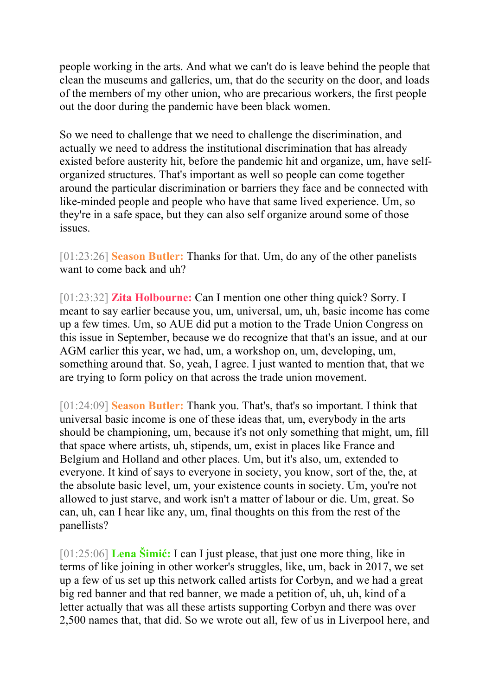people working in the arts. And what we can't do is leave behind the people that clean the museums and galleries, um, that do the security on the door, and loads of the members of my other union, who are precarious workers, the first people out the door during the pandemic have been black women.

So we need to challenge that we need to challenge the discrimination, and actually we need to address the institutional discrimination that has already existed before austerity hit, before the pandemic hit and organize, um, have selforganized structures. That's important as well so people can come together around the particular discrimination or barriers they face and be connected with like-minded people and people who have that same lived experience. Um, so they're in a safe space, but they can also self organize around some of those issues.

[01:23:26] **Season Butler:** Thanks for that. Um, do any of the other panelists want to come back and uh?

[01:23:32] **Zita Holbourne:** Can I mention one other thing quick? Sorry. I meant to say earlier because you, um, universal, um, uh, basic income has come up a few times. Um, so AUE did put a motion to the Trade Union Congress on this issue in September, because we do recognize that that's an issue, and at our AGM earlier this year, we had, um, a workshop on, um, developing, um, something around that. So, yeah, I agree. I just wanted to mention that, that we are trying to form policy on that across the trade union movement.

[01:24:09] **Season Butler:** Thank you. That's, that's so important. I think that universal basic income is one of these ideas that, um, everybody in the arts should be championing, um, because it's not only something that might, um, fill that space where artists, uh, stipends, um, exist in places like France and Belgium and Holland and other places. Um, but it's also, um, extended to everyone. It kind of says to everyone in society, you know, sort of the, the, at the absolute basic level, um, your existence counts in society. Um, you're not allowed to just starve, and work isn't a matter of labour or die. Um, great. So can, uh, can I hear like any, um, final thoughts on this from the rest of the panellists?

[01:25:06] **Lena Šimić:** I can I just please, that just one more thing, like in terms of like joining in other worker's struggles, like, um, back in 2017, we set up a few of us set up this network called artists for Corbyn, and we had a great big red banner and that red banner, we made a petition of, uh, uh, kind of a letter actually that was all these artists supporting Corbyn and there was over 2,500 names that, that did. So we wrote out all, few of us in Liverpool here, and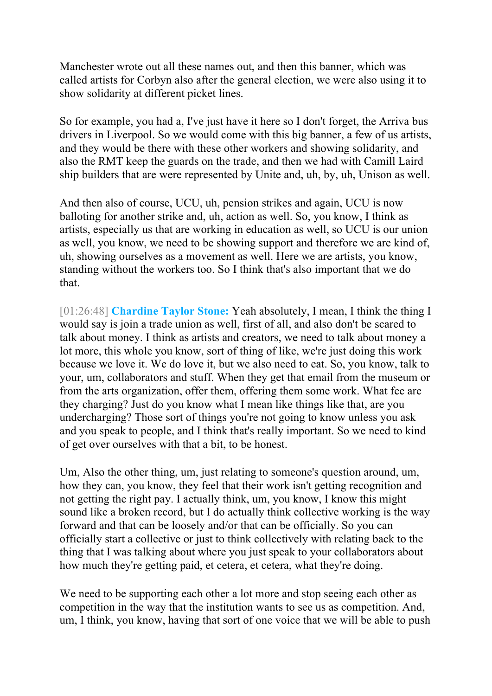Manchester wrote out all these names out, and then this banner, which was called artists for Corbyn also after the general election, we were also using it to show solidarity at different picket lines.

So for example, you had a, I've just have it here so I don't forget, the Arriva bus drivers in Liverpool. So we would come with this big banner, a few of us artists, and they would be there with these other workers and showing solidarity, and also the RMT keep the guards on the trade, and then we had with Camill Laird ship builders that are were represented by Unite and, uh, by, uh, Unison as well.

And then also of course, UCU, uh, pension strikes and again, UCU is now balloting for another strike and, uh, action as well. So, you know, I think as artists, especially us that are working in education as well, so UCU is our union as well, you know, we need to be showing support and therefore we are kind of, uh, showing ourselves as a movement as well. Here we are artists, you know, standing without the workers too. So I think that's also important that we do that.

[01:26:48] **Chardine Taylor Stone:** Yeah absolutely, I mean, I think the thing I would say is join a trade union as well, first of all, and also don't be scared to talk about money. I think as artists and creators, we need to talk about money a lot more, this whole you know, sort of thing of like, we're just doing this work because we love it. We do love it, but we also need to eat. So, you know, talk to your, um, collaborators and stuff. When they get that email from the museum or from the arts organization, offer them, offering them some work. What fee are they charging? Just do you know what I mean like things like that, are you undercharging? Those sort of things you're not going to know unless you ask and you speak to people, and I think that's really important. So we need to kind of get over ourselves with that a bit, to be honest.

Um, Also the other thing, um, just relating to someone's question around, um, how they can, you know, they feel that their work isn't getting recognition and not getting the right pay. I actually think, um, you know, I know this might sound like a broken record, but I do actually think collective working is the way forward and that can be loosely and/or that can be officially. So you can officially start a collective or just to think collectively with relating back to the thing that I was talking about where you just speak to your collaborators about how much they're getting paid, et cetera, et cetera, what they're doing.

We need to be supporting each other a lot more and stop seeing each other as competition in the way that the institution wants to see us as competition. And, um, I think, you know, having that sort of one voice that we will be able to push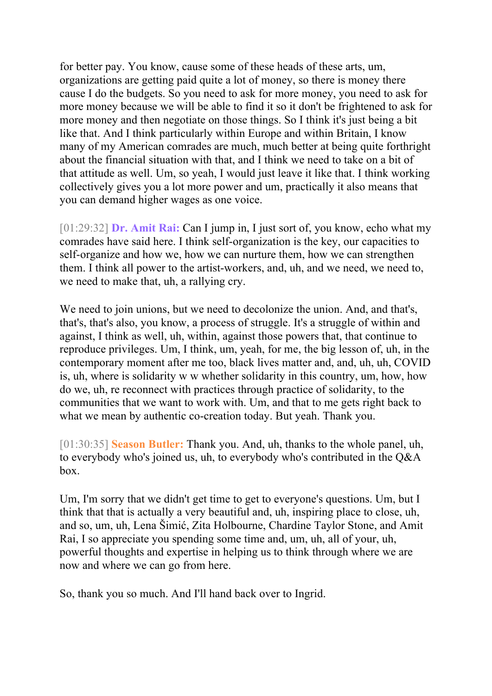for better pay. You know, cause some of these heads of these arts, um, organizations are getting paid quite a lot of money, so there is money there cause I do the budgets. So you need to ask for more money, you need to ask for more money because we will be able to find it so it don't be frightened to ask for more money and then negotiate on those things. So I think it's just being a bit like that. And I think particularly within Europe and within Britain, I know many of my American comrades are much, much better at being quite forthright about the financial situation with that, and I think we need to take on a bit of that attitude as well. Um, so yeah, I would just leave it like that. I think working collectively gives you a lot more power and um, practically it also means that you can demand higher wages as one voice.

[01:29:32] **Dr. Amit Rai:** Can I jump in, I just sort of, you know, echo what my comrades have said here. I think self-organization is the key, our capacities to self-organize and how we, how we can nurture them, how we can strengthen them. I think all power to the artist-workers, and, uh, and we need, we need to, we need to make that, uh, a rallying cry.

We need to join unions, but we need to decolonize the union. And, and that's, that's, that's also, you know, a process of struggle. It's a struggle of within and against, I think as well, uh, within, against those powers that, that continue to reproduce privileges. Um, I think, um, yeah, for me, the big lesson of, uh, in the contemporary moment after me too, black lives matter and, and, uh, uh, COVID is, uh, where is solidarity w w whether solidarity in this country, um, how, how do we, uh, re reconnect with practices through practice of solidarity, to the communities that we want to work with. Um, and that to me gets right back to what we mean by authentic co-creation today. But yeah. Thank you.

[01:30:35] **Season Butler:** Thank you. And, uh, thanks to the whole panel, uh, to everybody who's joined us, uh, to everybody who's contributed in the Q&A box.

Um, I'm sorry that we didn't get time to get to everyone's questions. Um, but I think that that is actually a very beautiful and, uh, inspiring place to close, uh, and so, um, uh, Lena Šimić, Zita Holbourne, Chardine Taylor Stone, and Amit Rai, I so appreciate you spending some time and, um, uh, all of your, uh, powerful thoughts and expertise in helping us to think through where we are now and where we can go from here.

So, thank you so much. And I'll hand back over to Ingrid.